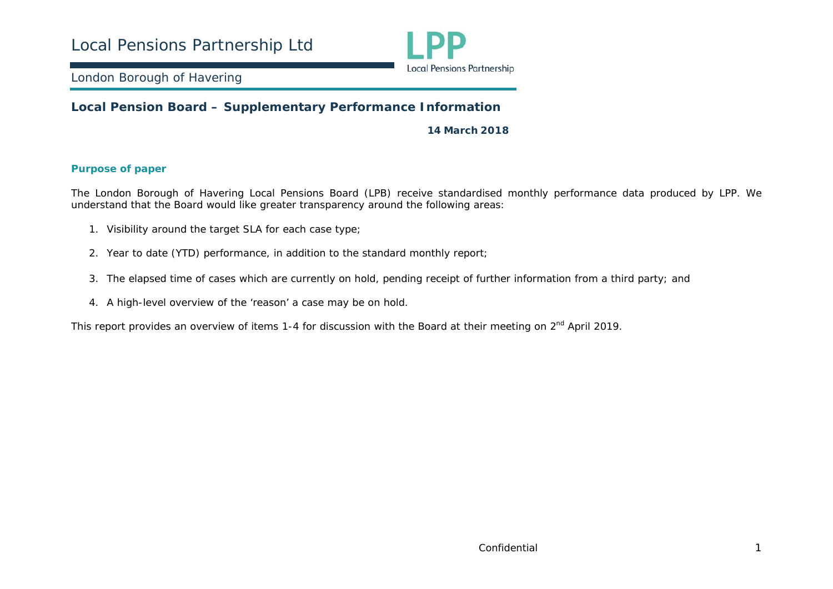

### **Local Pension Board – Supplementary Performance Information**

**14 March 2018** 

#### **Purpose of paper**

The London Borough of Havering Local Pensions Board (LPB) receive standardised monthly performance data produced by LPP. We understand that the Board would like greater transparency around the following areas:

- 1. Visibility around the target SLA for each case type;
- 2. Year to date (YTD) performance, in addition to the standard monthly report;
- 3. The elapsed time of cases which are currently on hold, pending receipt of further information from a third party; and
- 4. A high-level overview of the 'reason' a case may be on hold.

This report provides an overview of items 1-4 for discussion with the Board at their meeting on 2<sup>nd</sup> April 2019.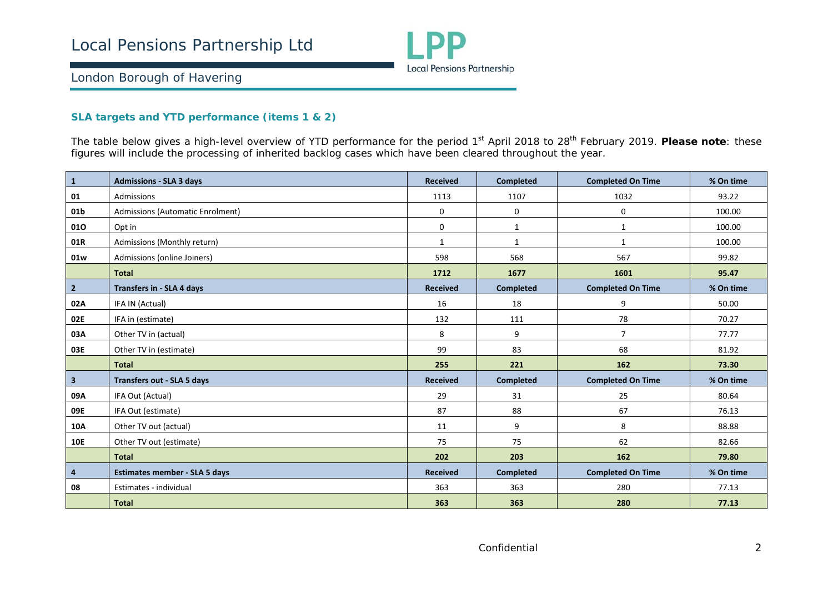

#### **SLA targets and YTD performance (items 1 & 2)**

The table below gives a high-level overview of YTD performance for the period 1<sup>st</sup> April 2018 to 28<sup>th</sup> February 2019. Please note: these figures will include the processing of inherited backlog cases which have been cleared throughout the year.

| $\vert$ 1               | <b>Admissions - SLA 3 days</b>       | <b>Received</b> | <b>Completed</b> | <b>Completed On Time</b> | % On time |
|-------------------------|--------------------------------------|-----------------|------------------|--------------------------|-----------|
| 01                      | Admissions                           | 1113            | 1107             | 1032                     | 93.22     |
| 01b                     | Admissions (Automatic Enrolment)     | 0               | 0                | 0                        | 100.00    |
| 010                     | Opt in                               | 0               | $\mathbf{1}$     | $\mathbf{1}$             | 100.00    |
| 01R                     | Admissions (Monthly return)          | $\mathbf{1}$    | $\mathbf{1}$     | 1                        | 100.00    |
| 01w                     | Admissions (online Joiners)          | 598             | 568              | 567                      | 99.82     |
|                         | <b>Total</b>                         | 1712            | 1677             | 1601                     | 95.47     |
| $\overline{2}$          | <b>Transfers in - SLA 4 days</b>     | <b>Received</b> | <b>Completed</b> | <b>Completed On Time</b> | % On time |
| 02A                     | IFA IN (Actual)                      | 16              | 18               | 9                        | 50.00     |
| 02E                     | IFA in (estimate)                    | 132             | 111              | 78                       | 70.27     |
| 03A                     | Other TV in (actual)                 | 8               | 9                | $\overline{7}$           | 77.77     |
| 03E                     | Other TV in (estimate)               | 99              | 83               | 68                       | 81.92     |
|                         | <b>Total</b>                         | 255             | 221              | 162                      | 73.30     |
| $\overline{\mathbf{3}}$ | <b>Transfers out - SLA 5 days</b>    | <b>Received</b> | <b>Completed</b> | <b>Completed On Time</b> | % On time |
| 09A                     | IFA Out (Actual)                     | 29              | 31               | 25                       | 80.64     |
| 09E                     | IFA Out (estimate)                   | 87              | 88               | 67                       | 76.13     |
| 10A                     | Other TV out (actual)                | 11              | 9                | 8                        | 88.88     |
| <b>10E</b>              | Other TV out (estimate)              | 75              | 75               | 62                       | 82.66     |
|                         | <b>Total</b>                         | 202             | 203              | 162                      | 79.80     |
| $\overline{\mathbf{4}}$ | <b>Estimates member - SLA 5 days</b> | <b>Received</b> | <b>Completed</b> | <b>Completed On Time</b> | % On time |
| 08                      | Estimates - individual               | 363             | 363              | 280                      | 77.13     |
|                         | <b>Total</b>                         | 363             | 363              | 280                      | 77.13     |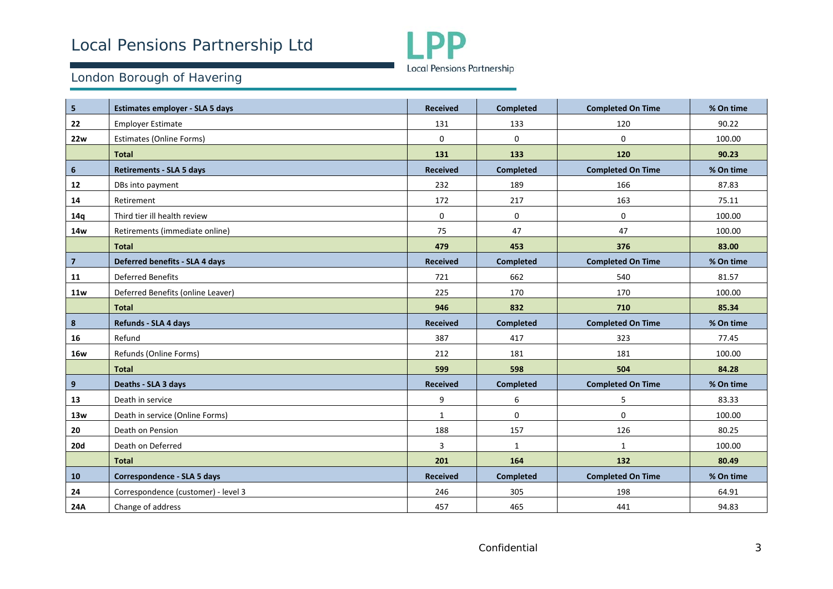

| 5              | Estimates employer - SLA 5 days     | <b>Received</b> | <b>Completed</b> | <b>Completed On Time</b> | % On time |
|----------------|-------------------------------------|-----------------|------------------|--------------------------|-----------|
| 22             | <b>Employer Estimate</b>            | 131             | 133              | 120                      | 90.22     |
| <b>22w</b>     | <b>Estimates (Online Forms)</b>     | 0               | 0                | $\mathbf 0$              | 100.00    |
|                | <b>Total</b>                        | 131             | 133              | 120                      | 90.23     |
| 6              | <b>Retirements - SLA 5 days</b>     | <b>Received</b> | <b>Completed</b> | <b>Completed On Time</b> | % On time |
| 12             | DBs into payment                    | 232             | 189              | 166                      | 87.83     |
| 14             | Retirement                          | 172             | 217              | 163                      | 75.11     |
| 14q            | Third tier ill health review        | 0               | 0                | $\mathbf 0$              | 100.00    |
| <b>14w</b>     | Retirements (immediate online)      | 75              | 47               | 47                       | 100.00    |
|                | <b>Total</b>                        | 479             | 453              | 376                      | 83.00     |
| $\overline{7}$ | Deferred benefits - SLA 4 days      | <b>Received</b> | <b>Completed</b> | <b>Completed On Time</b> | % On time |
| 11             | <b>Deferred Benefits</b>            | 721             | 662              | 540                      | 81.57     |
| 11w            | Deferred Benefits (online Leaver)   | 225             | 170              | 170                      | 100.00    |
|                | <b>Total</b>                        | 946             | 832              | 710                      | 85.34     |
| 8              | Refunds - SLA 4 days                | <b>Received</b> | <b>Completed</b> | <b>Completed On Time</b> | % On time |
| 16             | Refund                              | 387             | 417              | 323                      | 77.45     |
| <b>16w</b>     | Refunds (Online Forms)              | 212             | 181              | 181                      | 100.00    |
|                | <b>Total</b>                        | 599             | 598              | 504                      | 84.28     |
| 9              | Deaths - SLA 3 days                 | <b>Received</b> | <b>Completed</b> | <b>Completed On Time</b> | % On time |
| 13             | Death in service                    | 9               | 6                | 5                        | 83.33     |
| 13w            | Death in service (Online Forms)     | $\mathbf{1}$    | $\mathbf 0$      | $\mathbf 0$              | 100.00    |
| 20             | Death on Pension                    | 188             | 157              | 126                      | 80.25     |
| <b>20d</b>     | Death on Deferred                   | 3               | 1                | $\mathbf{1}$             | 100.00    |
|                | <b>Total</b>                        | 201             | 164              | 132                      | 80.49     |
| 10             | Correspondence - SLA 5 days         | <b>Received</b> | <b>Completed</b> | <b>Completed On Time</b> | % On time |
| 24             | Correspondence (customer) - level 3 | 246             | 305              | 198                      | 64.91     |
| 24A            | Change of address                   | 457             | 465              | 441                      | 94.83     |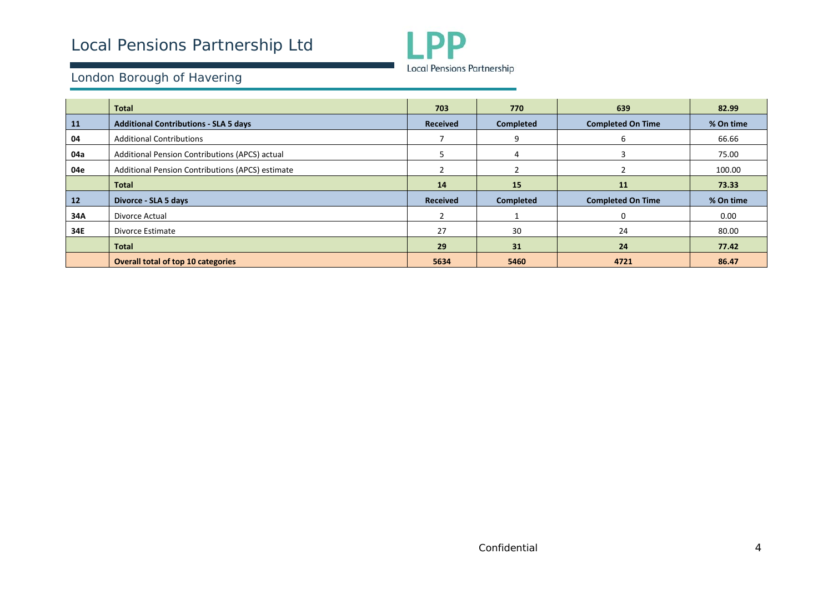

|     | <b>Total</b>                                     | 703             | 770              | 639                      | 82.99     |
|-----|--------------------------------------------------|-----------------|------------------|--------------------------|-----------|
| 11  | <b>Additional Contributions - SLA 5 days</b>     | <b>Received</b> | <b>Completed</b> | <b>Completed On Time</b> | % On time |
| 04  | <b>Additional Contributions</b>                  |                 | 9                | 6                        | 66.66     |
| 04a | Additional Pension Contributions (APCS) actual   |                 | 4                |                          | 75.00     |
| 04e | Additional Pension Contributions (APCS) estimate |                 |                  |                          | 100.00    |
|     | <b>Total</b>                                     | 14              | 15               | <b>11</b>                | 73.33     |
| 12  | Divorce - SLA 5 days                             | <b>Received</b> | <b>Completed</b> | <b>Completed On Time</b> | % On time |
| 34A | Divorce Actual                                   |                 |                  | 0                        | 0.00      |
| 34E | Divorce Estimate                                 | 27              | 30               | 24                       | 80.00     |
|     | <b>Total</b>                                     | 29              | 31               | 24                       | 77.42     |
|     | <b>Overall total of top 10 categories</b>        | 5634            | 5460             | 4721                     | 86.47     |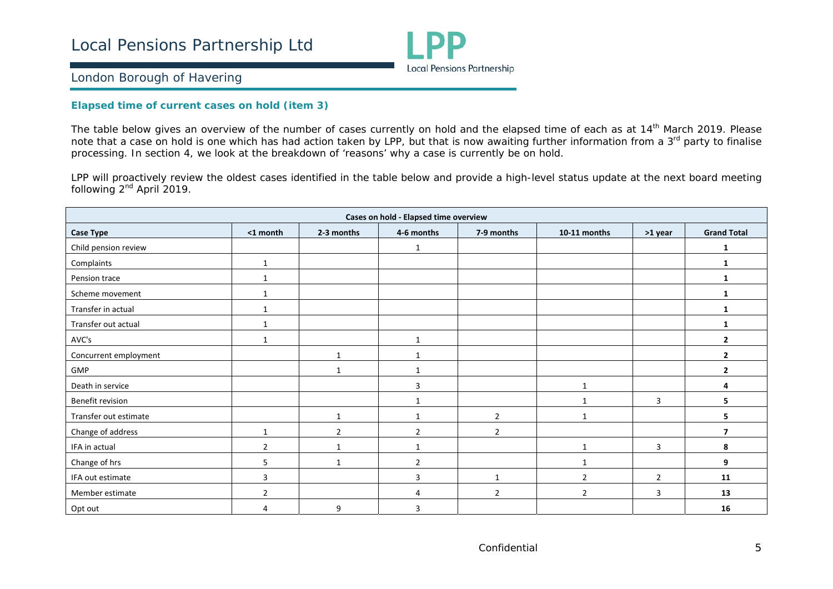

#### **Elapsed time of current cases on hold (item 3)**

The table below gives an overview of the number of cases currently on hold and the elapsed time of each as at 14<sup>th</sup> March 2019. Please note that a case on hold is one which has had action taken by LPP, but that is now awaiting further information from a 3<sup>rd</sup> party to finalise processing. In section 4, we look at the breakdown of 'reasons' why a case is currently be on hold.

LPP will proactively review the oldest cases identified in the table below and provide a high-level status update at the next board meeting following 2<sup>nd</sup> April 2019.

| Cases on hold - Elapsed time overview |                |                |                |                |                |                |                    |  |  |  |
|---------------------------------------|----------------|----------------|----------------|----------------|----------------|----------------|--------------------|--|--|--|
| Case Type                             | <1 month       | 2-3 months     | 4-6 months     | 7-9 months     | 10-11 months   | >1 year        | <b>Grand Total</b> |  |  |  |
| Child pension review                  |                |                | 1              |                |                |                | 1                  |  |  |  |
| Complaints                            | $\mathbf{1}$   |                |                |                |                |                | 1                  |  |  |  |
| Pension trace                         |                |                |                |                |                |                | 1                  |  |  |  |
| Scheme movement                       | -1             |                |                |                |                |                | 1                  |  |  |  |
| Transfer in actual                    |                |                |                |                |                |                | 1                  |  |  |  |
| Transfer out actual                   | $\mathbf 1$    |                |                |                |                |                | 1                  |  |  |  |
| AVC's                                 | -1             |                | $\mathbf{1}$   |                |                |                | $\overline{2}$     |  |  |  |
| Concurrent employment                 |                | 1              | 1              |                |                |                | $\overline{2}$     |  |  |  |
| GMP                                   |                | $\mathbf{1}$   | $\mathbf{1}$   |                |                |                | $\overline{2}$     |  |  |  |
| Death in service                      |                |                | 3              |                | $\mathbf{1}$   |                | Δ                  |  |  |  |
| Benefit revision                      |                |                | $\mathbf{1}$   |                | $\mathbf 1$    | 3              | 5.                 |  |  |  |
| Transfer out estimate                 |                | $\mathbf{1}$   | $\mathbf{1}$   | $\overline{2}$ | 1              |                | 5                  |  |  |  |
| Change of address                     | $\mathbf{1}$   | $\overline{2}$ | $\overline{2}$ | $\overline{2}$ |                |                | $\overline{7}$     |  |  |  |
| IFA in actual                         | $\overline{2}$ | 1              | 1              |                | $\mathbf{1}$   | 3              | 8                  |  |  |  |
| Change of hrs                         | 5              | $\mathbf{1}$   | $\overline{2}$ |                | $\mathbf{1}$   |                | 9                  |  |  |  |
| IFA out estimate                      | 3              |                | 3              | $\mathbf{1}$   | $\overline{2}$ | $\overline{2}$ | 11                 |  |  |  |
| Member estimate                       | $\overline{2}$ |                | 4              | $\overline{2}$ | $\overline{2}$ | 3              | 13                 |  |  |  |
| Opt out                               | 4              | 9              | 3              |                |                |                | 16                 |  |  |  |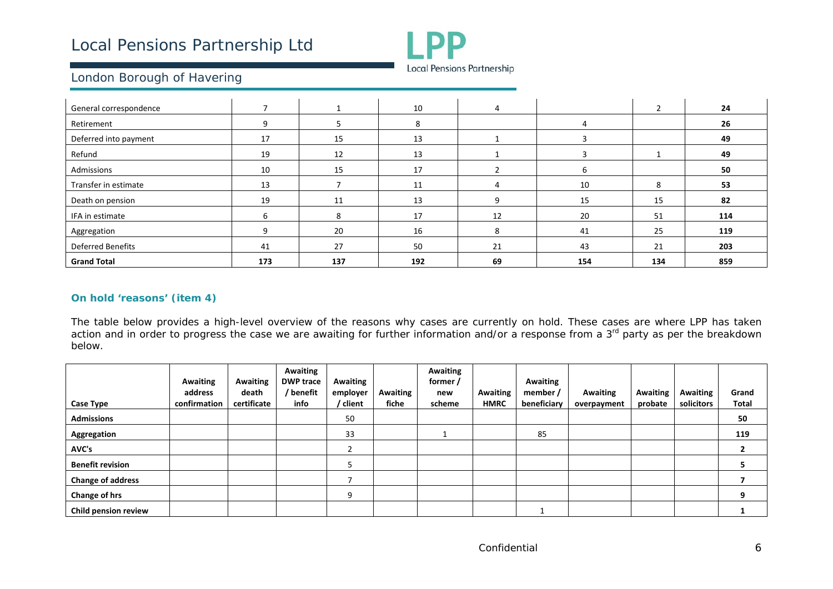

| General correspondence   |     |     | 10  | 4  |     | $\mathfrak z$ | 24  |
|--------------------------|-----|-----|-----|----|-----|---------------|-----|
| Retirement               |     |     | 8   |    |     |               | 26  |
| Deferred into payment    | 17  | 15  | 13  |    |     |               | 49  |
| Refund                   | 19  | 12  | 13  |    |     |               | 49  |
| Admissions               | 10  | 15  | 17  |    | h   |               | 50  |
| Transfer in estimate     | 13  |     | 11  | 4  | 10  | 8             | 53  |
| Death on pension         | 19  | 11  | 13  | 9  | 15  | 15            | 82  |
| IFA in estimate          | h   | Զ   | 17  | 12 | 20  | 51            | 114 |
| Aggregation              |     | 20  | 16  | 8  | 41  | 25            | 119 |
| <b>Deferred Benefits</b> | 41  | 27  | 50  | 21 | 43  | 21            | 203 |
| <b>Grand Total</b>       | 173 | 137 | 192 | 69 | 154 | 134           | 859 |

#### **On hold 'reasons' (item 4)**

The table below provides a high-level overview of the reasons why cases are currently on hold. These cases are where LPP has taken action and in order to progress the case we are awaiting for further information and/or a response from a 3<sup>rd</sup> party as per the breakdown below.

|                          | <b>Awaiting</b><br>address | Awaiting<br>death | Awaiting<br><b>DWP trace</b><br>/ benefit | Awaiting<br>employer | <b>Awaiting</b> | Awaiting<br>former /<br>new | Awaiting    | Awaiting<br>member / | Awaiting    | <b>Awaiting</b> | Awaiting   | Grand        |
|--------------------------|----------------------------|-------------------|-------------------------------------------|----------------------|-----------------|-----------------------------|-------------|----------------------|-------------|-----------------|------------|--------------|
| Case Type                | confirmation               | certificate       | info                                      | / client             | fiche           | scheme                      | <b>HMRC</b> | beneficiary          | overpayment | probate         | solicitors | <b>Total</b> |
| <b>Admissions</b>        |                            |                   |                                           | 50                   |                 |                             |             |                      |             |                 |            | 50           |
| Aggregation              |                            |                   |                                           | 33                   |                 |                             |             | 85                   |             |                 |            | 119          |
| AVC's                    |                            |                   |                                           |                      |                 |                             |             |                      |             |                 |            |              |
| <b>Benefit revision</b>  |                            |                   |                                           |                      |                 |                             |             |                      |             |                 |            |              |
| <b>Change of address</b> |                            |                   |                                           |                      |                 |                             |             |                      |             |                 |            |              |
| Change of hrs            |                            |                   |                                           | 9                    |                 |                             |             |                      |             |                 |            | 9            |
| Child pension review     |                            |                   |                                           |                      |                 |                             |             |                      |             |                 |            |              |